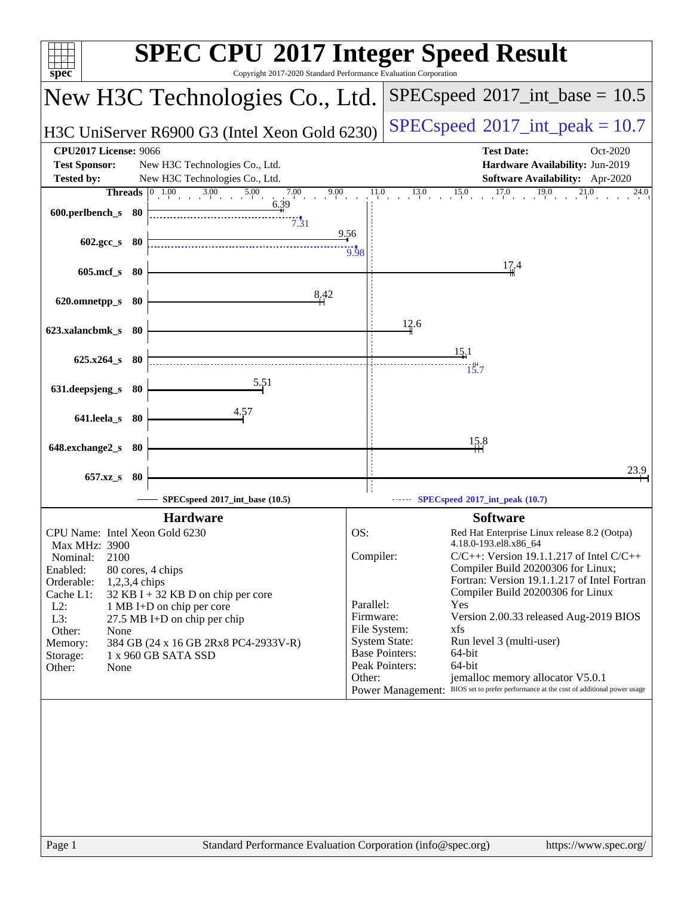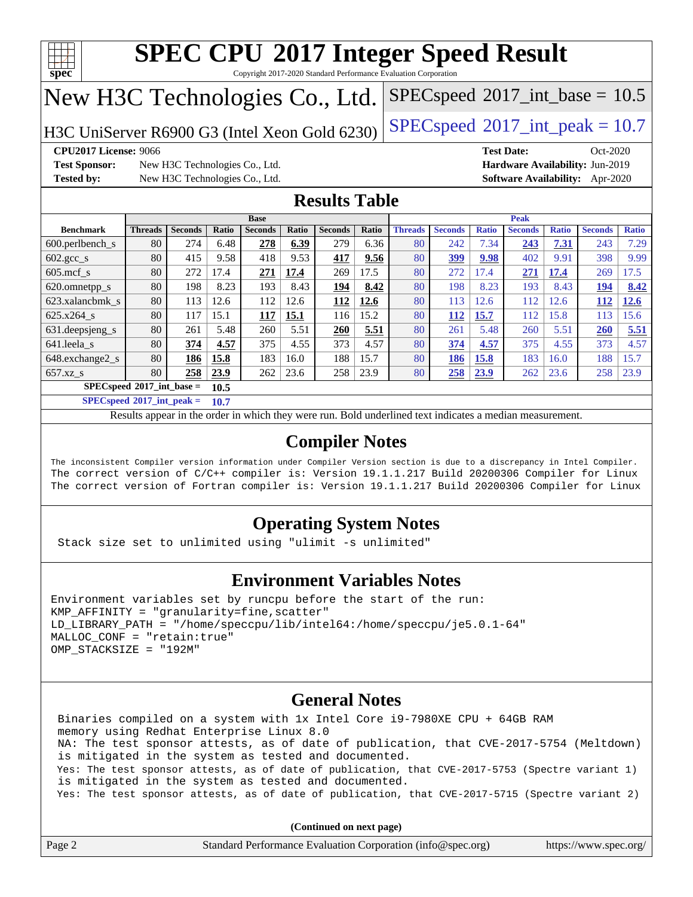

Copyright 2017-2020 Standard Performance Evaluation Corporation

# New H3C Technologies Co., Ltd.

H3C UniServer R6900 G3 (Intel Xeon Gold 6230) [SPECspeed](http://www.spec.org/auto/cpu2017/Docs/result-fields.html#SPECspeed2017intpeak)<sup>®</sup>[2017\\_int\\_peak = 1](http://www.spec.org/auto/cpu2017/Docs/result-fields.html#SPECspeed2017intpeak)0.7

 $SPECspeed^{\circledcirc}2017\_int\_base = 10.5$  $SPECspeed^{\circledcirc}2017\_int\_base = 10.5$ 

**[Test Sponsor:](http://www.spec.org/auto/cpu2017/Docs/result-fields.html#TestSponsor)** New H3C Technologies Co., Ltd. **[Hardware Availability:](http://www.spec.org/auto/cpu2017/Docs/result-fields.html#HardwareAvailability)** Jun-2019 **[Tested by:](http://www.spec.org/auto/cpu2017/Docs/result-fields.html#Testedby)** New H3C Technologies Co., Ltd. **[Software Availability:](http://www.spec.org/auto/cpu2017/Docs/result-fields.html#SoftwareAvailability)** Apr-2020

**[CPU2017 License:](http://www.spec.org/auto/cpu2017/Docs/result-fields.html#CPU2017License)** 9066 **[Test Date:](http://www.spec.org/auto/cpu2017/Docs/result-fields.html#TestDate)** Oct-2020

#### **[Results Table](http://www.spec.org/auto/cpu2017/Docs/result-fields.html#ResultsTable)**

|                            | <b>Base</b>                                |                |       |                |       |                |       | <b>Peak</b>    |                |              |                |              |                |              |
|----------------------------|--------------------------------------------|----------------|-------|----------------|-------|----------------|-------|----------------|----------------|--------------|----------------|--------------|----------------|--------------|
| <b>Benchmark</b>           | <b>Threads</b>                             | <b>Seconds</b> | Ratio | <b>Seconds</b> | Ratio | <b>Seconds</b> | Ratio | <b>Threads</b> | <b>Seconds</b> | <b>Ratio</b> | <b>Seconds</b> | <b>Ratio</b> | <b>Seconds</b> | <b>Ratio</b> |
| $600.$ perlbench s         | 80                                         | 274            | 6.48  | 278            | 6.39  | 279            | 6.36  | 80             | 242            | 7.34         | 243            | 7.31         | 243            | 7.29         |
| $602.\text{gcc}\_\text{s}$ | 80                                         | 415            | 9.58  | 418            | 9.53  | 417            | 9.56  | 80             | 399            | 9.98         | 402            | 9.91         | 398            | 9.99         |
| $605$ .mcf s               | 80                                         | 272            | 17.4  | 271            | 17.4  | 269            | 17.5  | 80             | 272            | 17.4         | 271            | 17.4         | 269            | 17.5         |
| 620.omnetpp_s              | 80                                         | 198            | 8.23  | 193            | 8.43  | 194            | 8.42  | 80             | 198            | 8.23         | 193            | 8.43         | 194            | 8.42         |
| 623.xalancbmk s            | 80                                         | 113            | 12.6  | 112            | 12.6  | 112            | 12.6  | 80             | 113            | 12.6         | 112            | 12.6         | 112            | 12.6         |
| 625.x264 s                 | 80                                         | 117            | 15.1  | 117            | 15.1  | 116            | 15.2  | 80             | 112            | 15.7         | 112            | 15.8         | 113            | 15.6         |
| 631.deepsjeng_s            | 80                                         | 261            | 5.48  | 260            | 5.51  | 260            | 5.51  | 80             | 261            | 5.48         | 260            | 5.51         | 260            | 5.51         |
| 641.leela_s                | 80                                         | 374            | 4.57  | 375            | 4.55  | 373            | 4.57  | 80             | 374            | 4.57         | 375            | 4.55         | 373            | 4.57         |
| 648.exchange2_s            | 80                                         | 186            | 15.8  | 183            | 16.0  | 188            | 15.7  | 80             | 186            | 15.8         | 183            | 16.0         | 188            | 15.7         |
| $657.xz$ s                 | 80                                         | 258            | 23.9  | 262            | 23.6  | 258            | 23.9  | 80             | 258            | 23.9         | 262            | 23.6         | 258            | 23.9         |
|                            | $SPECspeed^{\circ}2017$ int base =<br>10.5 |                |       |                |       |                |       |                |                |              |                |              |                |              |

**[SPECspeed](http://www.spec.org/auto/cpu2017/Docs/result-fields.html#SPECspeed2017intpeak)[2017\\_int\\_peak =](http://www.spec.org/auto/cpu2017/Docs/result-fields.html#SPECspeed2017intpeak) 10.7**

Results appear in the [order in which they were run.](http://www.spec.org/auto/cpu2017/Docs/result-fields.html#RunOrder) Bold underlined text [indicates a median measurement](http://www.spec.org/auto/cpu2017/Docs/result-fields.html#Median).

#### **[Compiler Notes](http://www.spec.org/auto/cpu2017/Docs/result-fields.html#CompilerNotes)**

The inconsistent Compiler version information under Compiler Version section is due to a discrepancy in Intel Compiler. The correct version of C/C++ compiler is: Version 19.1.1.217 Build 20200306 Compiler for Linux The correct version of Fortran compiler is: Version 19.1.1.217 Build 20200306 Compiler for Linux

#### **[Operating System Notes](http://www.spec.org/auto/cpu2017/Docs/result-fields.html#OperatingSystemNotes)**

Stack size set to unlimited using "ulimit -s unlimited"

#### **[Environment Variables Notes](http://www.spec.org/auto/cpu2017/Docs/result-fields.html#EnvironmentVariablesNotes)**

```
Environment variables set by runcpu before the start of the run:
KMP AFFINITY = "granularity=fine, scatter"
LD_LIBRARY_PATH = "/home/speccpu/lib/intel64:/home/speccpu/je5.0.1-64"
MALLOC_CONF = "retain:true"
OMP_STACKSIZE = "192M"
```
#### **[General Notes](http://www.spec.org/auto/cpu2017/Docs/result-fields.html#GeneralNotes)**

 Binaries compiled on a system with 1x Intel Core i9-7980XE CPU + 64GB RAM memory using Redhat Enterprise Linux 8.0 NA: The test sponsor attests, as of date of publication, that CVE-2017-5754 (Meltdown) is mitigated in the system as tested and documented. Yes: The test sponsor attests, as of date of publication, that CVE-2017-5753 (Spectre variant 1) is mitigated in the system as tested and documented. Yes: The test sponsor attests, as of date of publication, that CVE-2017-5715 (Spectre variant 2)

**(Continued on next page)**

| Page 2 | Standard Performance Evaluation Corporation (info@spec.org) | https://www.spec.org/ |
|--------|-------------------------------------------------------------|-----------------------|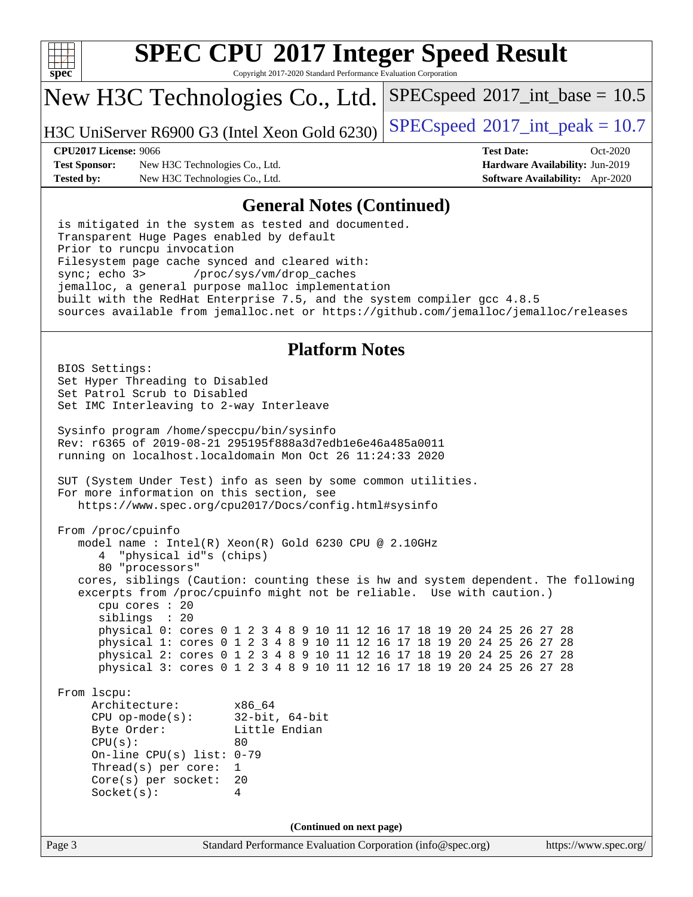

Copyright 2017-2020 Standard Performance Evaluation Corporation

### New H3C Technologies Co., Ltd.

H3C UniServer R6900 G3 (Intel Xeon Gold 6230) [SPECspeed](http://www.spec.org/auto/cpu2017/Docs/result-fields.html#SPECspeed2017intpeak)<sup>®</sup>[2017\\_int\\_peak = 1](http://www.spec.org/auto/cpu2017/Docs/result-fields.html#SPECspeed2017intpeak)0.7

 $SPECspeed^{\circledcirc}2017\_int\_base = 10.5$  $SPECspeed^{\circledcirc}2017\_int\_base = 10.5$ 

**[Test Sponsor:](http://www.spec.org/auto/cpu2017/Docs/result-fields.html#TestSponsor)** New H3C Technologies Co., Ltd. **[Hardware Availability:](http://www.spec.org/auto/cpu2017/Docs/result-fields.html#HardwareAvailability)** Jun-2019 **[Tested by:](http://www.spec.org/auto/cpu2017/Docs/result-fields.html#Testedby)** New H3C Technologies Co., Ltd. **[Software Availability:](http://www.spec.org/auto/cpu2017/Docs/result-fields.html#SoftwareAvailability)** Apr-2020

**[CPU2017 License:](http://www.spec.org/auto/cpu2017/Docs/result-fields.html#CPU2017License)** 9066 **[Test Date:](http://www.spec.org/auto/cpu2017/Docs/result-fields.html#TestDate)** Oct-2020

#### **[General Notes \(Continued\)](http://www.spec.org/auto/cpu2017/Docs/result-fields.html#GeneralNotes)**

 is mitigated in the system as tested and documented. Transparent Huge Pages enabled by default Prior to runcpu invocation Filesystem page cache synced and cleared with: sync; echo 3> /proc/sys/vm/drop\_caches jemalloc, a general purpose malloc implementation built with the RedHat Enterprise 7.5, and the system compiler gcc 4.8.5 sources available from jemalloc.net or <https://github.com/jemalloc/jemalloc/releases>

#### **[Platform Notes](http://www.spec.org/auto/cpu2017/Docs/result-fields.html#PlatformNotes)**

Page 3 Standard Performance Evaluation Corporation [\(info@spec.org\)](mailto:info@spec.org) <https://www.spec.org/> BIOS Settings: Set Hyper Threading to Disabled Set Patrol Scrub to Disabled Set IMC Interleaving to 2-way Interleave Sysinfo program /home/speccpu/bin/sysinfo Rev: r6365 of 2019-08-21 295195f888a3d7edb1e6e46a485a0011 running on localhost.localdomain Mon Oct 26 11:24:33 2020 SUT (System Under Test) info as seen by some common utilities. For more information on this section, see <https://www.spec.org/cpu2017/Docs/config.html#sysinfo> From /proc/cpuinfo model name : Intel(R) Xeon(R) Gold 6230 CPU @ 2.10GHz 4 "physical id"s (chips) 80 "processors" cores, siblings (Caution: counting these is hw and system dependent. The following excerpts from /proc/cpuinfo might not be reliable. Use with caution.) cpu cores : 20 siblings : 20 physical 0: cores 0 1 2 3 4 8 9 10 11 12 16 17 18 19 20 24 25 26 27 28 physical 1: cores 0 1 2 3 4 8 9 10 11 12 16 17 18 19 20 24 25 26 27 28 physical 2: cores 0 1 2 3 4 8 9 10 11 12 16 17 18 19 20 24 25 26 27 28 physical 3: cores 0 1 2 3 4 8 9 10 11 12 16 17 18 19 20 24 25 26 27 28 From lscpu: Architecture: x86\_64 CPU op-mode(s): 32-bit, 64-bit Byte Order: Little Endian  $CPU(s):$  80 On-line CPU(s) list: 0-79 Thread(s) per core: 1 Core(s) per socket: 20 Socket(s): 4 **(Continued on next page)**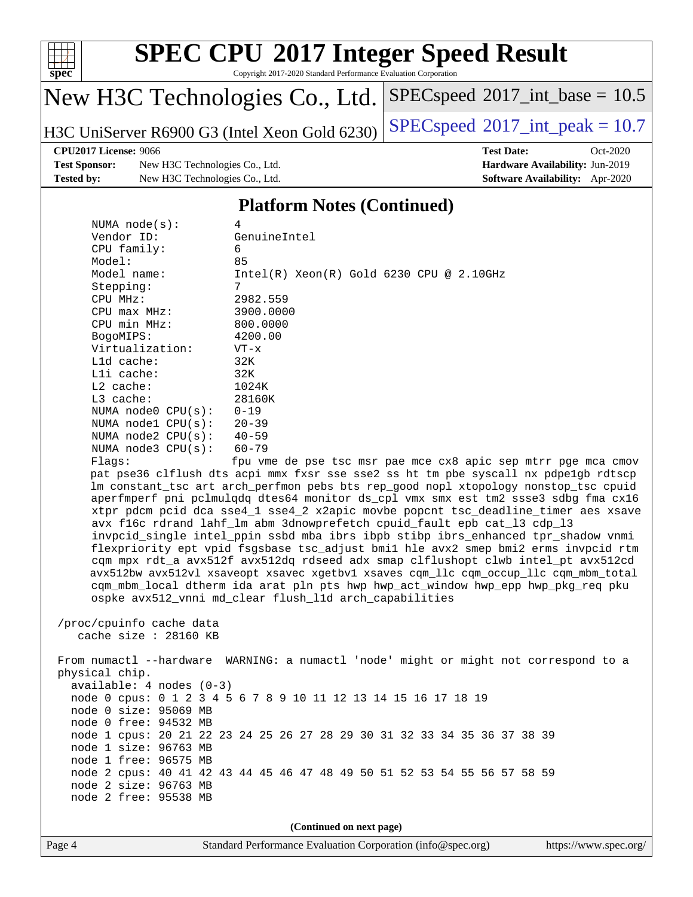

Copyright 2017-2020 Standard Performance Evaluation Corporation

# New H3C Technologies Co., Ltd.

H3C UniServer R6900 G3 (Intel Xeon Gold 6230) [SPECspeed](http://www.spec.org/auto/cpu2017/Docs/result-fields.html#SPECspeed2017intpeak)<sup>®</sup>[2017\\_int\\_peak = 1](http://www.spec.org/auto/cpu2017/Docs/result-fields.html#SPECspeed2017intpeak)0.7

 $SPECspeed^{\circledcirc}2017\_int\_base = 10.5$  $SPECspeed^{\circledcirc}2017\_int\_base = 10.5$ 

#### **[CPU2017 License:](http://www.spec.org/auto/cpu2017/Docs/result-fields.html#CPU2017License)** 9066 **[Test Date:](http://www.spec.org/auto/cpu2017/Docs/result-fields.html#TestDate)** Oct-2020

**[Test Sponsor:](http://www.spec.org/auto/cpu2017/Docs/result-fields.html#TestSponsor)** New H3C Technologies Co., Ltd. **[Hardware Availability:](http://www.spec.org/auto/cpu2017/Docs/result-fields.html#HardwareAvailability)** Jun-2019 **[Tested by:](http://www.spec.org/auto/cpu2017/Docs/result-fields.html#Testedby)** New H3C Technologies Co., Ltd. **[Software Availability:](http://www.spec.org/auto/cpu2017/Docs/result-fields.html#SoftwareAvailability)** Apr-2020

#### **[Platform Notes \(Continued\)](http://www.spec.org/auto/cpu2017/Docs/result-fields.html#PlatformNotes)**

| NUMA $node(s)$ :                                    | 4                                                                                    |
|-----------------------------------------------------|--------------------------------------------------------------------------------------|
| Vendor ID:                                          | GenuineIntel                                                                         |
| CPU family:                                         | 6                                                                                    |
| Model:                                              | 85                                                                                   |
| Model name:                                         | $Intel(R)$ Xeon $(R)$ Gold 6230 CPU @ 2.10GHz                                        |
| Stepping:                                           | 7                                                                                    |
| CPU MHz:                                            | 2982.559                                                                             |
| $CPU$ $max$ $MHz$ :                                 | 3900.0000                                                                            |
| CPU min MHz:                                        | 800,0000                                                                             |
| BogoMIPS:                                           | 4200.00                                                                              |
| Virtualization:                                     | $VT - x$                                                                             |
| L1d cache:                                          | 32K                                                                                  |
| Lli cache:                                          | 32K                                                                                  |
| $L2$ cache:                                         | 1024K                                                                                |
| L3 cache:                                           | 28160K                                                                               |
| NUMA node0 CPU(s):                                  | $0 - 19$                                                                             |
| NUMA nodel CPU(s):                                  | $20 - 39$                                                                            |
| NUMA $node2$ $CPU(s):$                              | $40 - 59$                                                                            |
| NUMA $node3$ $CPU(s)$ :                             | 60-79                                                                                |
| Flagg:                                              | fpu vme de pse tsc msr pae mce cx8 apic sep mtrr pge mca cmov                        |
|                                                     | pat pse36 clflush dts acpi mmx fxsr sse sse2 ss ht tm pbe syscall nx pdpelgb rdtscp  |
|                                                     | lm constant_tsc art arch_perfmon pebs bts rep_good nopl xtopology nonstop_tsc cpuid  |
|                                                     | aperfmperf pni pclmulqdq dtes64 monitor ds_cpl vmx smx est tm2 ssse3 sdbg fma cx16   |
|                                                     | xtpr pdcm pcid dca sse4_1 sse4_2 x2apic movbe popcnt tsc_deadline_timer aes xsave    |
|                                                     | avx f16c rdrand lahf_lm abm 3dnowprefetch cpuid_fault epb cat_13 cdp_13              |
|                                                     | invpcid_single intel_ppin ssbd mba ibrs ibpb stibp ibrs_enhanced tpr_shadow vnmi     |
|                                                     | flexpriority ept vpid fsgsbase tsc_adjust bmil hle avx2 smep bmi2 erms invpcid rtm   |
|                                                     | cqm mpx rdt_a avx512f avx512dq rdseed adx smap clflushopt clwb intel_pt avx512cd     |
|                                                     | avx512bw avx512vl xsaveopt xsavec xqetbvl xsaves cqm llc cqm occup llc cqm mbm total |
|                                                     | cqm_mbm_local dtherm ida arat pln pts hwp hwp_act_window hwp_epp hwp_pkg_req pku     |
|                                                     | ospke avx512_vnni md_clear flush_l1d arch_capabilities                               |
|                                                     |                                                                                      |
| /proc/cpuinfo cache data<br>cache size $: 28160$ KB |                                                                                      |
|                                                     |                                                                                      |
|                                                     | From numactl --hardware WARNING: a numactl 'node' might or might not correspond to a |
|                                                     |                                                                                      |

**(Continued on next page)**

physical chip.

available: 4 nodes (0-3)

 node 0 size: 95069 MB node 0 free: 94532 MB

 node 1 size: 96763 MB node 1 free: 96575 MB

 node 2 size: 96763 MB node 2 free: 95538 MB

node 0 cpus: 0 1 2 3 4 5 6 7 8 9 10 11 12 13 14 15 16 17 18 19

node 1 cpus: 20 21 22 23 24 25 26 27 28 29 30 31 32 33 34 35 36 37 38 39

node 2 cpus: 40 41 42 43 44 45 46 47 48 49 50 51 52 53 54 55 56 57 58 59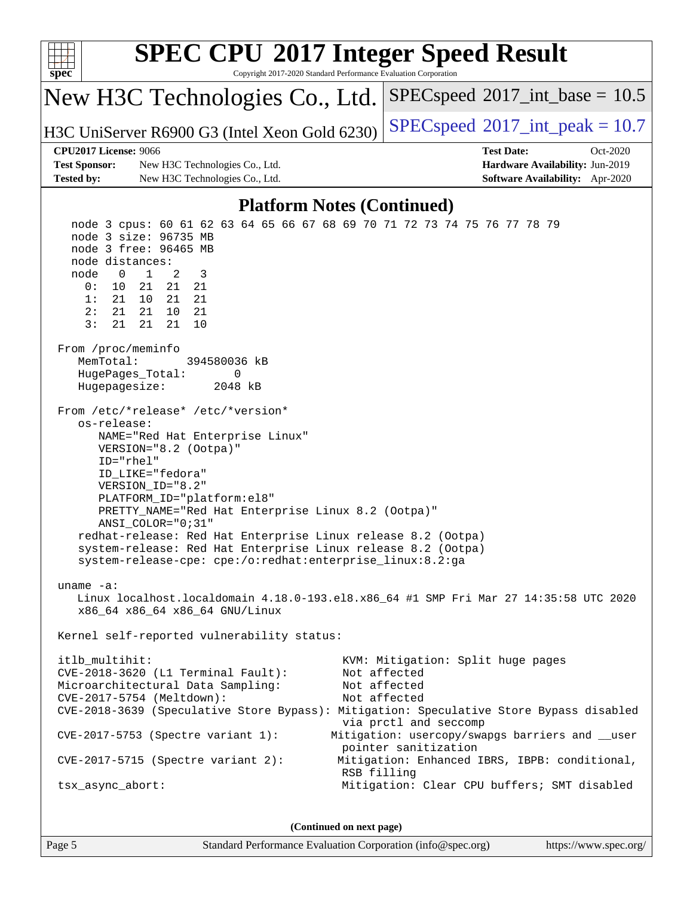| <b>SPEC CPU®2017 Integer Speed Result</b><br>Copyright 2017-2020 Standard Performance Evaluation Corporation<br>$spec^*$                                                                                                                                                                                                                                                                                                                                                                                                                                                                                                                                                                                                                                                                                                                                                                                                                                        |                                                                                                            |  |  |  |  |
|-----------------------------------------------------------------------------------------------------------------------------------------------------------------------------------------------------------------------------------------------------------------------------------------------------------------------------------------------------------------------------------------------------------------------------------------------------------------------------------------------------------------------------------------------------------------------------------------------------------------------------------------------------------------------------------------------------------------------------------------------------------------------------------------------------------------------------------------------------------------------------------------------------------------------------------------------------------------|------------------------------------------------------------------------------------------------------------|--|--|--|--|
| New H3C Technologies Co., Ltd.                                                                                                                                                                                                                                                                                                                                                                                                                                                                                                                                                                                                                                                                                                                                                                                                                                                                                                                                  | $SPEC speed^{\circ}2017\_int\_base = 10.5$                                                                 |  |  |  |  |
| H3C UniServer R6900 G3 (Intel Xeon Gold 6230)                                                                                                                                                                                                                                                                                                                                                                                                                                                                                                                                                                                                                                                                                                                                                                                                                                                                                                                   | $SPEC speed^{\circ}2017\_int\_peak = 10.7$                                                                 |  |  |  |  |
| <b>CPU2017 License: 9066</b>                                                                                                                                                                                                                                                                                                                                                                                                                                                                                                                                                                                                                                                                                                                                                                                                                                                                                                                                    | <b>Test Date:</b><br>Oct-2020                                                                              |  |  |  |  |
| <b>Test Sponsor:</b><br>New H3C Technologies Co., Ltd.                                                                                                                                                                                                                                                                                                                                                                                                                                                                                                                                                                                                                                                                                                                                                                                                                                                                                                          | Hardware Availability: Jun-2019                                                                            |  |  |  |  |
| <b>Tested by:</b><br>New H3C Technologies Co., Ltd.                                                                                                                                                                                                                                                                                                                                                                                                                                                                                                                                                                                                                                                                                                                                                                                                                                                                                                             | Software Availability: Apr-2020                                                                            |  |  |  |  |
|                                                                                                                                                                                                                                                                                                                                                                                                                                                                                                                                                                                                                                                                                                                                                                                                                                                                                                                                                                 |                                                                                                            |  |  |  |  |
| <b>Platform Notes (Continued)</b><br>node 3 cpus: 60 61 62 63 64 65 66 67 68 69 70 71 72 73 74 75 76 77 78 79<br>node 3 size: 96735 MB<br>node 3 free: 96465 MB<br>node distances:<br>2<br>$\mathbf 0$<br>$\mathbf{1}$<br>3<br>node<br>0:<br>10<br>21<br>21<br>21<br>1:<br>21<br>10<br>21<br>21<br>2:<br>21<br>21<br>10<br>21<br>3:<br>21<br>21<br>10<br>21<br>From /proc/meminfo<br>MemTotal:<br>394580036 kB<br>HugePages_Total:<br>0<br>Hugepagesize:<br>2048 kB<br>From /etc/*release* /etc/*version*<br>os-release:<br>NAME="Red Hat Enterprise Linux"<br>VERSION="8.2 (Ootpa)"<br>ID="rhel"<br>ID_LIKE="fedora"<br>VERSION_ID="8.2"<br>PLATFORM_ID="platform:el8"<br>PRETTY_NAME="Red Hat Enterprise Linux 8.2 (Ootpa)"<br>ANSI_COLOR="0;31"<br>redhat-release: Red Hat Enterprise Linux release 8.2 (Ootpa)<br>system-release: Red Hat Enterprise Linux release 8.2 (Ootpa)<br>system-release-cpe: cpe:/o:redhat:enterprise_linux:8.2:ga<br>uname $-a$ : |                                                                                                            |  |  |  |  |
| Linux localhost.localdomain 4.18.0-193.el8.x86_64 #1 SMP Fri Mar 27 14:35:58 UTC 2020<br>x86_64 x86_64 x86_64 GNU/Linux                                                                                                                                                                                                                                                                                                                                                                                                                                                                                                                                                                                                                                                                                                                                                                                                                                         |                                                                                                            |  |  |  |  |
| Kernel self-reported vulnerability status:                                                                                                                                                                                                                                                                                                                                                                                                                                                                                                                                                                                                                                                                                                                                                                                                                                                                                                                      |                                                                                                            |  |  |  |  |
| itlb_multihit:<br>CVE-2018-3620 (L1 Terminal Fault):<br>Microarchitectural Data Sampling:<br>CVE-2017-5754 (Meltdown):<br>CVE-2018-3639 (Speculative Store Bypass): Mitigation: Speculative Store Bypass disabled                                                                                                                                                                                                                                                                                                                                                                                                                                                                                                                                                                                                                                                                                                                                               | KVM: Mitigation: Split huge pages<br>Not affected<br>Not affected<br>Not affected<br>via prctl and seccomp |  |  |  |  |
| $CVE-2017-5753$ (Spectre variant 1):                                                                                                                                                                                                                                                                                                                                                                                                                                                                                                                                                                                                                                                                                                                                                                                                                                                                                                                            | Mitigation: usercopy/swapgs barriers and __user<br>pointer sanitization                                    |  |  |  |  |
| $CVE-2017-5715$ (Spectre variant 2):                                                                                                                                                                                                                                                                                                                                                                                                                                                                                                                                                                                                                                                                                                                                                                                                                                                                                                                            | Mitigation: Enhanced IBRS, IBPB: conditional,<br>RSB filling                                               |  |  |  |  |
| tsx_async_abort:                                                                                                                                                                                                                                                                                                                                                                                                                                                                                                                                                                                                                                                                                                                                                                                                                                                                                                                                                | Mitigation: Clear CPU buffers; SMT disabled                                                                |  |  |  |  |
| (Continued on next page)                                                                                                                                                                                                                                                                                                                                                                                                                                                                                                                                                                                                                                                                                                                                                                                                                                                                                                                                        |                                                                                                            |  |  |  |  |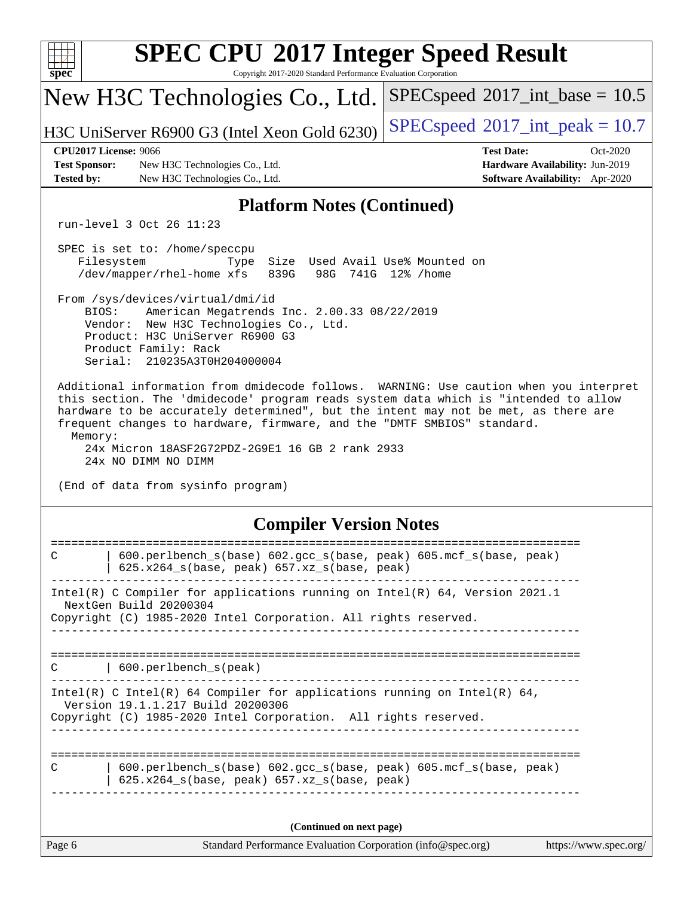| $spec^*$                                                                                                                                                                                                                                                                                                                                                                                                                            | <b>SPEC CPU®2017 Integer Speed Result</b><br>Copyright 2017-2020 Standard Performance Evaluation Corporation                                                                                                                  |                                                                                                            |  |  |  |  |  |
|-------------------------------------------------------------------------------------------------------------------------------------------------------------------------------------------------------------------------------------------------------------------------------------------------------------------------------------------------------------------------------------------------------------------------------------|-------------------------------------------------------------------------------------------------------------------------------------------------------------------------------------------------------------------------------|------------------------------------------------------------------------------------------------------------|--|--|--|--|--|
|                                                                                                                                                                                                                                                                                                                                                                                                                                     | New H3C Technologies Co., Ltd.                                                                                                                                                                                                | $SPEC speed^{\circ}2017\_int\_base = 10.5$                                                                 |  |  |  |  |  |
|                                                                                                                                                                                                                                                                                                                                                                                                                                     | H3C UniServer R6900 G3 (Intel Xeon Gold 6230)                                                                                                                                                                                 | $SPEC speed^{\circ}2017\_int\_peak = 10.7$                                                                 |  |  |  |  |  |
| <b>CPU2017 License: 9066</b><br><b>Test Sponsor:</b><br><b>Tested by:</b>                                                                                                                                                                                                                                                                                                                                                           | New H3C Technologies Co., Ltd.<br>New H3C Technologies Co., Ltd.                                                                                                                                                              | <b>Test Date:</b><br>Oct-2020<br>Hardware Availability: Jun-2019<br><b>Software Availability:</b> Apr-2020 |  |  |  |  |  |
|                                                                                                                                                                                                                                                                                                                                                                                                                                     | <b>Platform Notes (Continued)</b>                                                                                                                                                                                             |                                                                                                            |  |  |  |  |  |
| run-level 3 Oct 26 11:23                                                                                                                                                                                                                                                                                                                                                                                                            |                                                                                                                                                                                                                               |                                                                                                            |  |  |  |  |  |
| Filesystem                                                                                                                                                                                                                                                                                                                                                                                                                          | SPEC is set to: /home/speccpu<br>Size Used Avail Use% Mounted on<br>Type<br>/dev/mapper/rhel-home xfs<br>839G                                                                                                                 | 98G 741G 12% / home                                                                                        |  |  |  |  |  |
|                                                                                                                                                                                                                                                                                                                                                                                                                                     | From /sys/devices/virtual/dmi/id<br>BIOS:<br>American Megatrends Inc. 2.00.33 08/22/2019<br>Vendor: New H3C Technologies Co., Ltd.<br>Product: H3C UniServer R6900 G3<br>Product Family: Rack<br>Serial: 210235A3T0H204000004 |                                                                                                            |  |  |  |  |  |
| Additional information from dmidecode follows. WARNING: Use caution when you interpret<br>this section. The 'dmidecode' program reads system data which is "intended to allow<br>hardware to be accurately determined", but the intent may not be met, as there are<br>frequent changes to hardware, firmware, and the "DMTF SMBIOS" standard.<br>Memory:<br>24x Micron 18ASF2G72PDZ-2G9E1 16 GB 2 rank 2933<br>24x NO DIMM NO DIMM |                                                                                                                                                                                                                               |                                                                                                            |  |  |  |  |  |
|                                                                                                                                                                                                                                                                                                                                                                                                                                     | (End of data from sysinfo program)<br><b>Compiler Version Notes</b>                                                                                                                                                           |                                                                                                            |  |  |  |  |  |
| $\mathsf{C}$                                                                                                                                                                                                                                                                                                                                                                                                                        | 600.perlbench_s(base) 602.gcc_s(base, peak) 605.mcf_s(base, peak)<br>625.x264_s(base, peak) 657.xz_s(base, peak)                                                                                                              |                                                                                                            |  |  |  |  |  |
| Intel(R) C Compiler for applications running on Intel(R) 64, Version 2021.1<br>NextGen Build 20200304<br>Copyright (C) 1985-2020 Intel Corporation. All rights reserved.                                                                                                                                                                                                                                                            |                                                                                                                                                                                                                               |                                                                                                            |  |  |  |  |  |
|                                                                                                                                                                                                                                                                                                                                                                                                                                     |                                                                                                                                                                                                                               |                                                                                                            |  |  |  |  |  |
| 600.perlbench_s(peak)<br>C                                                                                                                                                                                                                                                                                                                                                                                                          |                                                                                                                                                                                                                               |                                                                                                            |  |  |  |  |  |
| Intel(R) C Intel(R) 64 Compiler for applications running on Intel(R) 64,<br>Version 19.1.1.217 Build 20200306<br>Copyright (C) 1985-2020 Intel Corporation. All rights reserved.                                                                                                                                                                                                                                                    |                                                                                                                                                                                                                               |                                                                                                            |  |  |  |  |  |
| 600.perlbench_s(base) 602.gcc_s(base, peak) 605.mcf_s(base, peak)<br>C<br>$625.x264_s(base, peak)$ $657.xz_s(base, peak)$                                                                                                                                                                                                                                                                                                           |                                                                                                                                                                                                                               |                                                                                                            |  |  |  |  |  |
| (Continued on next page)                                                                                                                                                                                                                                                                                                                                                                                                            |                                                                                                                                                                                                                               |                                                                                                            |  |  |  |  |  |
| Page 6                                                                                                                                                                                                                                                                                                                                                                                                                              | Standard Performance Evaluation Corporation (info@spec.org)                                                                                                                                                                   | https://www.spec.org/                                                                                      |  |  |  |  |  |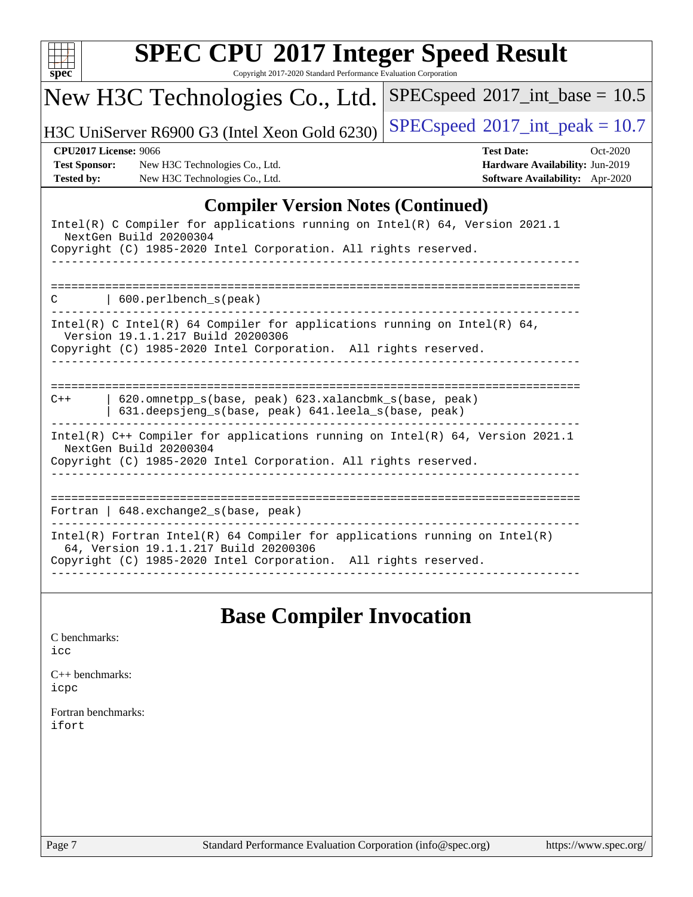|                                                                           | New H3C Technologies Co., Ltd.                                                                                                                                                   | $SPEC speed^{\circ}2017\_int\_base = 10.5$                                                          |
|---------------------------------------------------------------------------|----------------------------------------------------------------------------------------------------------------------------------------------------------------------------------|-----------------------------------------------------------------------------------------------------|
|                                                                           | H3C UniServer R6900 G3 (Intel Xeon Gold 6230)                                                                                                                                    | $SPEC speed^{\circ}2017\_int\_peak = 10.7$                                                          |
| <b>CPU2017 License: 9066</b><br><b>Test Sponsor:</b><br><b>Tested by:</b> | New H3C Technologies Co., Ltd.<br>New H3C Technologies Co., Ltd.                                                                                                                 | <b>Test Date:</b><br>Oct-2020<br>Hardware Availability: Jun-2019<br>Software Availability: Apr-2020 |
|                                                                           | <b>Compiler Version Notes (Continued)</b>                                                                                                                                        |                                                                                                     |
|                                                                           | Intel(R) C Compiler for applications running on Intel(R) 64, Version 2021.1<br>NextGen Build 20200304<br>Copyright (C) 1985-2020 Intel Corporation. All rights reserved.         |                                                                                                     |
| C                                                                         | 600.perlbench_s(peak)                                                                                                                                                            |                                                                                                     |
|                                                                           | Intel(R) C Intel(R) 64 Compiler for applications running on Intel(R) 64,<br>Version 19.1.1.217 Build 20200306<br>Copyright (C) 1985-2020 Intel Corporation. All rights reserved. |                                                                                                     |
| $C++$                                                                     | 620.omnetpp_s(base, peak) 623.xalancbmk_s(base, peak)<br>631.deepsjeng_s(base, peak) 641.leela_s(base, peak)                                                                     |                                                                                                     |
|                                                                           | Intel(R) C++ Compiler for applications running on Intel(R) 64, Version 2021.1<br>NextGen Build 20200304<br>Copyright (C) 1985-2020 Intel Corporation. All rights reserved.       |                                                                                                     |
|                                                                           | Fortran   648.exchange2_s(base, peak)<br>____________________                                                                                                                    |                                                                                                     |
|                                                                           | $Intel(R)$ Fortran Intel(R) 64 Compiler for applications running on Intel(R)                                                                                                     |                                                                                                     |

# **[Base Compiler Invocation](http://www.spec.org/auto/cpu2017/Docs/result-fields.html#BaseCompilerInvocation)**

| C benchmarks: |
|---------------|
| icc           |

[C++ benchmarks:](http://www.spec.org/auto/cpu2017/Docs/result-fields.html#CXXbenchmarks) [icpc](http://www.spec.org/cpu2017/results/res2020q4/cpu2017-20201027-24328.flags.html#user_CXXbase_intel_icpc_c510b6838c7f56d33e37e94d029a35b4a7bccf4766a728ee175e80a419847e808290a9b78be685c44ab727ea267ec2f070ec5dc83b407c0218cded6866a35d07)

[Fortran benchmarks](http://www.spec.org/auto/cpu2017/Docs/result-fields.html#Fortranbenchmarks): [ifort](http://www.spec.org/cpu2017/results/res2020q4/cpu2017-20201027-24328.flags.html#user_FCbase_intel_ifort_8111460550e3ca792625aed983ce982f94888b8b503583aa7ba2b8303487b4d8a21a13e7191a45c5fd58ff318f48f9492884d4413fa793fd88dd292cad7027ca)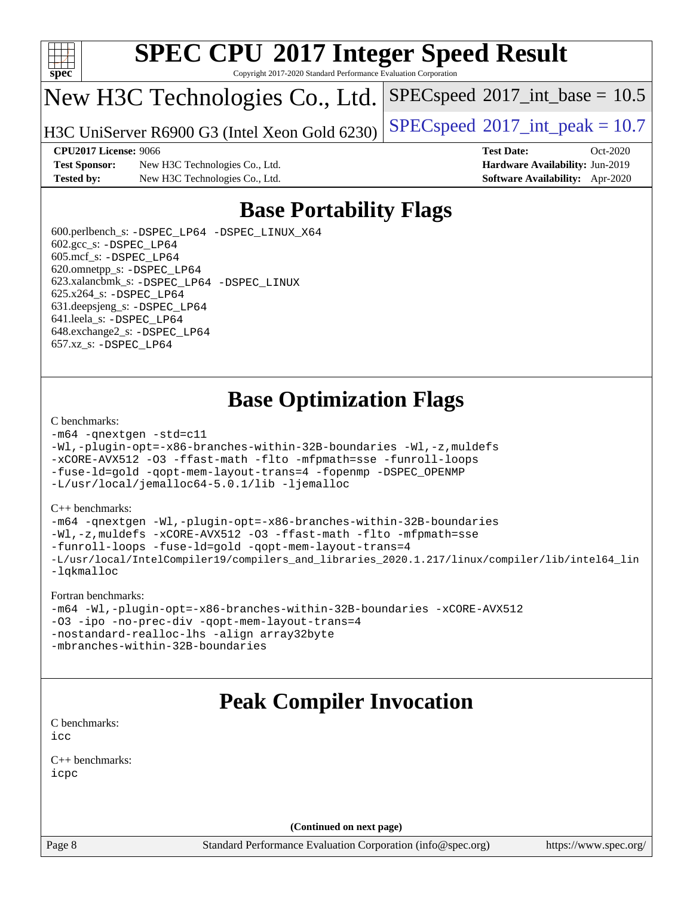

Copyright 2017-2020 Standard Performance Evaluation Corporation

## New H3C Technologies Co., Ltd.

H3C UniServer R6900 G3 (Intel Xeon Gold 6230) [SPECspeed](http://www.spec.org/auto/cpu2017/Docs/result-fields.html#SPECspeed2017intpeak)®[2017\\_int\\_peak = 1](http://www.spec.org/auto/cpu2017/Docs/result-fields.html#SPECspeed2017intpeak)0.7

 $SPECspeed^{\circledcirc}2017\_int\_base = 10.5$  $SPECspeed^{\circledcirc}2017\_int\_base = 10.5$ 

**[CPU2017 License:](http://www.spec.org/auto/cpu2017/Docs/result-fields.html#CPU2017License)** 9066 **[Test Date:](http://www.spec.org/auto/cpu2017/Docs/result-fields.html#TestDate)** Oct-2020

**[Test Sponsor:](http://www.spec.org/auto/cpu2017/Docs/result-fields.html#TestSponsor)** New H3C Technologies Co., Ltd. **[Hardware Availability:](http://www.spec.org/auto/cpu2017/Docs/result-fields.html#HardwareAvailability)** Jun-2019 **[Tested by:](http://www.spec.org/auto/cpu2017/Docs/result-fields.html#Testedby)** New H3C Technologies Co., Ltd. **[Software Availability:](http://www.spec.org/auto/cpu2017/Docs/result-fields.html#SoftwareAvailability)** Apr-2020

### **[Base Portability Flags](http://www.spec.org/auto/cpu2017/Docs/result-fields.html#BasePortabilityFlags)**

 600.perlbench\_s: [-DSPEC\\_LP64](http://www.spec.org/cpu2017/results/res2020q4/cpu2017-20201027-24328.flags.html#b600.perlbench_s_basePORTABILITY_DSPEC_LP64) [-DSPEC\\_LINUX\\_X64](http://www.spec.org/cpu2017/results/res2020q4/cpu2017-20201027-24328.flags.html#b600.perlbench_s_baseCPORTABILITY_DSPEC_LINUX_X64) 602.gcc\_s: [-DSPEC\\_LP64](http://www.spec.org/cpu2017/results/res2020q4/cpu2017-20201027-24328.flags.html#suite_basePORTABILITY602_gcc_s_DSPEC_LP64) 605.mcf\_s: [-DSPEC\\_LP64](http://www.spec.org/cpu2017/results/res2020q4/cpu2017-20201027-24328.flags.html#suite_basePORTABILITY605_mcf_s_DSPEC_LP64) 620.omnetpp\_s: [-DSPEC\\_LP64](http://www.spec.org/cpu2017/results/res2020q4/cpu2017-20201027-24328.flags.html#suite_basePORTABILITY620_omnetpp_s_DSPEC_LP64) 623.xalancbmk\_s: [-DSPEC\\_LP64](http://www.spec.org/cpu2017/results/res2020q4/cpu2017-20201027-24328.flags.html#suite_basePORTABILITY623_xalancbmk_s_DSPEC_LP64) [-DSPEC\\_LINUX](http://www.spec.org/cpu2017/results/res2020q4/cpu2017-20201027-24328.flags.html#b623.xalancbmk_s_baseCXXPORTABILITY_DSPEC_LINUX) 625.x264\_s: [-DSPEC\\_LP64](http://www.spec.org/cpu2017/results/res2020q4/cpu2017-20201027-24328.flags.html#suite_basePORTABILITY625_x264_s_DSPEC_LP64) 631.deepsjeng\_s: [-DSPEC\\_LP64](http://www.spec.org/cpu2017/results/res2020q4/cpu2017-20201027-24328.flags.html#suite_basePORTABILITY631_deepsjeng_s_DSPEC_LP64) 641.leela\_s: [-DSPEC\\_LP64](http://www.spec.org/cpu2017/results/res2020q4/cpu2017-20201027-24328.flags.html#suite_basePORTABILITY641_leela_s_DSPEC_LP64) 648.exchange2\_s: [-DSPEC\\_LP64](http://www.spec.org/cpu2017/results/res2020q4/cpu2017-20201027-24328.flags.html#suite_basePORTABILITY648_exchange2_s_DSPEC_LP64) 657.xz\_s: [-DSPEC\\_LP64](http://www.spec.org/cpu2017/results/res2020q4/cpu2017-20201027-24328.flags.html#suite_basePORTABILITY657_xz_s_DSPEC_LP64)

## **[Base Optimization Flags](http://www.spec.org/auto/cpu2017/Docs/result-fields.html#BaseOptimizationFlags)**

#### [C benchmarks](http://www.spec.org/auto/cpu2017/Docs/result-fields.html#Cbenchmarks):

```
-m64 -qnextgen -std=c11
-Wl,-plugin-opt=-x86-branches-within-32B-boundaries -Wl,-z,muldefs
-xCORE-AVX512 -O3 -ffast-math -flto -mfpmath=sse -funroll-loops
-fuse-ld=gold -qopt-mem-layout-trans=4 -fopenmp -DSPEC_OPENMP
-L/usr/local/jemalloc64-5.0.1/lib -ljemalloc
```
#### [C++ benchmarks:](http://www.spec.org/auto/cpu2017/Docs/result-fields.html#CXXbenchmarks)

```
-m64 -qnextgen -Wl,-plugin-opt=-x86-branches-within-32B-boundaries
-Wl,-z,muldefs -xCORE-AVX512 -O3 -ffast-math -flto -mfpmath=sse
-funroll-loops -fuse-ld=gold -qopt-mem-layout-trans=4
-L/usr/local/IntelCompiler19/compilers_and_libraries_2020.1.217/linux/compiler/lib/intel64_lin
-lqkmalloc
```
#### [Fortran benchmarks:](http://www.spec.org/auto/cpu2017/Docs/result-fields.html#Fortranbenchmarks)

```
-m64 -Wl,-plugin-opt=-x86-branches-within-32B-boundaries -xCORE-AVX512
-O3 -ipo -no-prec-div -qopt-mem-layout-trans=4
-nostandard-realloc-lhs -align array32byte
-mbranches-within-32B-boundaries
```
### **[Peak Compiler Invocation](http://www.spec.org/auto/cpu2017/Docs/result-fields.html#PeakCompilerInvocation)**

[C benchmarks](http://www.spec.org/auto/cpu2017/Docs/result-fields.html#Cbenchmarks): [icc](http://www.spec.org/cpu2017/results/res2020q4/cpu2017-20201027-24328.flags.html#user_CCpeak_intel_icc_66fc1ee009f7361af1fbd72ca7dcefbb700085f36577c54f309893dd4ec40d12360134090235512931783d35fd58c0460139e722d5067c5574d8eaf2b3e37e92)

[C++ benchmarks:](http://www.spec.org/auto/cpu2017/Docs/result-fields.html#CXXbenchmarks) [icpc](http://www.spec.org/cpu2017/results/res2020q4/cpu2017-20201027-24328.flags.html#user_CXXpeak_intel_icpc_c510b6838c7f56d33e37e94d029a35b4a7bccf4766a728ee175e80a419847e808290a9b78be685c44ab727ea267ec2f070ec5dc83b407c0218cded6866a35d07)

**(Continued on next page)**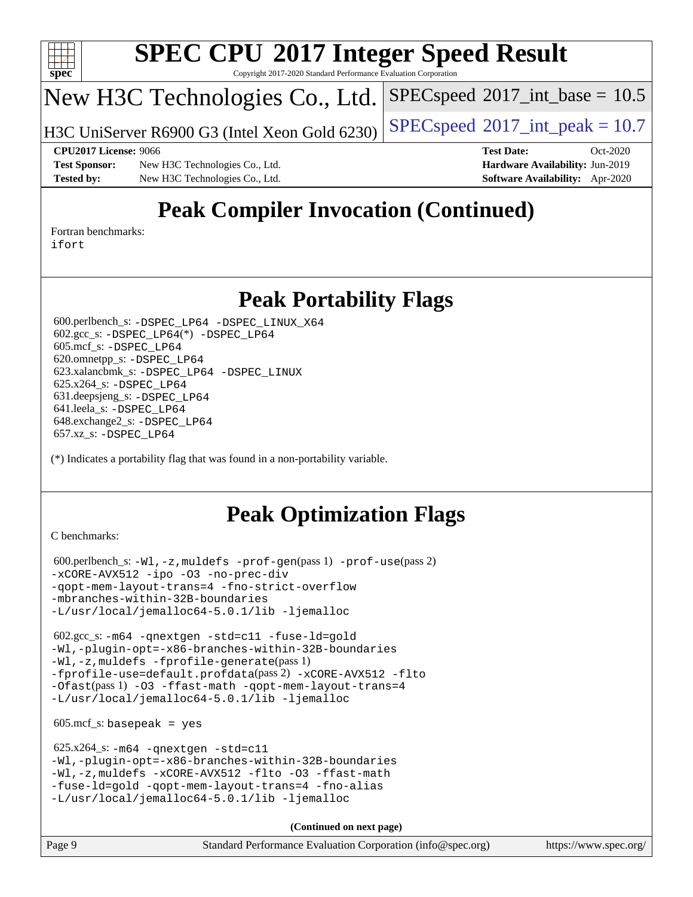

Copyright 2017-2020 Standard Performance Evaluation Corporation

# New H3C Technologies Co., Ltd.

H3C UniServer R6900 G3 (Intel Xeon Gold 6230) [SPECspeed](http://www.spec.org/auto/cpu2017/Docs/result-fields.html#SPECspeed2017intpeak)®[2017\\_int\\_peak = 1](http://www.spec.org/auto/cpu2017/Docs/result-fields.html#SPECspeed2017intpeak)0.7

 $SPECspeed^{\circledcirc}2017\_int\_base = 10.5$  $SPECspeed^{\circledcirc}2017\_int\_base = 10.5$ 

**[Test Sponsor:](http://www.spec.org/auto/cpu2017/Docs/result-fields.html#TestSponsor)** New H3C Technologies Co., Ltd. **[Hardware Availability:](http://www.spec.org/auto/cpu2017/Docs/result-fields.html#HardwareAvailability)** Jun-2019 **[Tested by:](http://www.spec.org/auto/cpu2017/Docs/result-fields.html#Testedby)** New H3C Technologies Co., Ltd. **[Software Availability:](http://www.spec.org/auto/cpu2017/Docs/result-fields.html#SoftwareAvailability)** Apr-2020

**[CPU2017 License:](http://www.spec.org/auto/cpu2017/Docs/result-fields.html#CPU2017License)** 9066 **[Test Date:](http://www.spec.org/auto/cpu2017/Docs/result-fields.html#TestDate)** Oct-2020

# **[Peak Compiler Invocation \(Continued\)](http://www.spec.org/auto/cpu2017/Docs/result-fields.html#PeakCompilerInvocation)**

[Fortran benchmarks](http://www.spec.org/auto/cpu2017/Docs/result-fields.html#Fortranbenchmarks): [ifort](http://www.spec.org/cpu2017/results/res2020q4/cpu2017-20201027-24328.flags.html#user_FCpeak_intel_ifort_8111460550e3ca792625aed983ce982f94888b8b503583aa7ba2b8303487b4d8a21a13e7191a45c5fd58ff318f48f9492884d4413fa793fd88dd292cad7027ca)

#### **[Peak Portability Flags](http://www.spec.org/auto/cpu2017/Docs/result-fields.html#PeakPortabilityFlags)**

 600.perlbench\_s: [-DSPEC\\_LP64](http://www.spec.org/cpu2017/results/res2020q4/cpu2017-20201027-24328.flags.html#b600.perlbench_s_peakPORTABILITY_DSPEC_LP64) [-DSPEC\\_LINUX\\_X64](http://www.spec.org/cpu2017/results/res2020q4/cpu2017-20201027-24328.flags.html#b600.perlbench_s_peakCPORTABILITY_DSPEC_LINUX_X64) 602.gcc\_s: [-DSPEC\\_LP64](http://www.spec.org/cpu2017/results/res2020q4/cpu2017-20201027-24328.flags.html#suite_peakCCLD602_gcc_s_DSPEC_LP64)(\*) [-DSPEC\\_LP64](http://www.spec.org/cpu2017/results/res2020q4/cpu2017-20201027-24328.flags.html#suite_peakPORTABILITY602_gcc_s_DSPEC_LP64) 605.mcf\_s: [-DSPEC\\_LP64](http://www.spec.org/cpu2017/results/res2020q4/cpu2017-20201027-24328.flags.html#suite_peakPORTABILITY605_mcf_s_DSPEC_LP64) 620.omnetpp\_s: [-DSPEC\\_LP64](http://www.spec.org/cpu2017/results/res2020q4/cpu2017-20201027-24328.flags.html#suite_peakPORTABILITY620_omnetpp_s_DSPEC_LP64) 623.xalancbmk\_s: [-DSPEC\\_LP64](http://www.spec.org/cpu2017/results/res2020q4/cpu2017-20201027-24328.flags.html#suite_peakPORTABILITY623_xalancbmk_s_DSPEC_LP64) [-DSPEC\\_LINUX](http://www.spec.org/cpu2017/results/res2020q4/cpu2017-20201027-24328.flags.html#b623.xalancbmk_s_peakCXXPORTABILITY_DSPEC_LINUX) 625.x264\_s: [-DSPEC\\_LP64](http://www.spec.org/cpu2017/results/res2020q4/cpu2017-20201027-24328.flags.html#suite_peakPORTABILITY625_x264_s_DSPEC_LP64) 631.deepsjeng\_s: [-DSPEC\\_LP64](http://www.spec.org/cpu2017/results/res2020q4/cpu2017-20201027-24328.flags.html#suite_peakPORTABILITY631_deepsjeng_s_DSPEC_LP64) 641.leela\_s: [-DSPEC\\_LP64](http://www.spec.org/cpu2017/results/res2020q4/cpu2017-20201027-24328.flags.html#suite_peakPORTABILITY641_leela_s_DSPEC_LP64) 648.exchange2\_s: [-DSPEC\\_LP64](http://www.spec.org/cpu2017/results/res2020q4/cpu2017-20201027-24328.flags.html#suite_peakPORTABILITY648_exchange2_s_DSPEC_LP64) 657.xz\_s: [-DSPEC\\_LP64](http://www.spec.org/cpu2017/results/res2020q4/cpu2017-20201027-24328.flags.html#suite_peakPORTABILITY657_xz_s_DSPEC_LP64)

(\*) Indicates a portability flag that was found in a non-portability variable.

# **[Peak Optimization Flags](http://www.spec.org/auto/cpu2017/Docs/result-fields.html#PeakOptimizationFlags)**

[C benchmarks](http://www.spec.org/auto/cpu2017/Docs/result-fields.html#Cbenchmarks):

```
 600.perlbench_s: -Wl,-z,muldefs -prof-gen(pass 1) -prof-use(pass 2)
-xCORE-AVX512 -ipo -O3 -no-prec-div
-qopt-mem-layout-trans=4 -fno-strict-overflow
-mbranches-within-32B-boundaries
-L/usr/local/jemalloc64-5.0.1/lib -ljemalloc
```
 602.gcc\_s: [-m64](http://www.spec.org/cpu2017/results/res2020q4/cpu2017-20201027-24328.flags.html#user_peakCCLD602_gcc_s_m64-icc) [-qnextgen](http://www.spec.org/cpu2017/results/res2020q4/cpu2017-20201027-24328.flags.html#user_peakCCLD602_gcc_s_f-qnextgen) [-std=c11](http://www.spec.org/cpu2017/results/res2020q4/cpu2017-20201027-24328.flags.html#user_peakCCLD602_gcc_s_std-icc-std_0e1c27790398a4642dfca32ffe6c27b5796f9c2d2676156f2e42c9c44eaad0c049b1cdb667a270c34d979996257aeb8fc440bfb01818dbc9357bd9d174cb8524) [-fuse-ld=gold](http://www.spec.org/cpu2017/results/res2020q4/cpu2017-20201027-24328.flags.html#user_peakCCLD602_gcc_s_f-fuse-ld_920b3586e2b8c6e0748b9c84fa9b744736ba725a32cab14ad8f3d4ad28eecb2f59d1144823d2e17006539a88734fe1fc08fc3035f7676166309105a78aaabc32) [-Wl,-plugin-opt=-x86-branches-within-32B-boundaries](http://www.spec.org/cpu2017/results/res2020q4/cpu2017-20201027-24328.flags.html#user_peakLDFLAGS602_gcc_s_f-x86-branches-within-32B-boundaries_0098b4e4317ae60947b7b728078a624952a08ac37a3c797dfb4ffeb399e0c61a9dd0f2f44ce917e9361fb9076ccb15e7824594512dd315205382d84209e912f3) [-Wl,-z,muldefs](http://www.spec.org/cpu2017/results/res2020q4/cpu2017-20201027-24328.flags.html#user_peakEXTRA_LDFLAGS602_gcc_s_link_force_multiple1_b4cbdb97b34bdee9ceefcfe54f4c8ea74255f0b02a4b23e853cdb0e18eb4525ac79b5a88067c842dd0ee6996c24547a27a4b99331201badda8798ef8a743f577) [-fprofile-generate](http://www.spec.org/cpu2017/results/res2020q4/cpu2017-20201027-24328.flags.html#user_peakPASS1_CFLAGSPASS1_LDFLAGS602_gcc_s_fprofile-generate)(pass 1) [-fprofile-use=default.profdata](http://www.spec.org/cpu2017/results/res2020q4/cpu2017-20201027-24328.flags.html#user_peakPASS2_CFLAGSPASS2_LDFLAGS602_gcc_s_fprofile-use_56aeee182b92ec249f9670f17c9b8e7d83fe2d25538e35a2cf64c434b579a2235a8b8fc66ef5678d24461366bbab9d486c870d8a72905233fc08e43eefe3cd80)(pass 2) [-xCORE-AVX512](http://www.spec.org/cpu2017/results/res2020q4/cpu2017-20201027-24328.flags.html#user_peakCOPTIMIZEPASS1_CFLAGSPASS1_LDFLAGS602_gcc_s_f-xCORE-AVX512) [-flto](http://www.spec.org/cpu2017/results/res2020q4/cpu2017-20201027-24328.flags.html#user_peakCOPTIMIZEPASS1_CFLAGSPASS1_LDFLAGS602_gcc_s_f-flto) [-Ofast](http://www.spec.org/cpu2017/results/res2020q4/cpu2017-20201027-24328.flags.html#user_peakPASS1_CFLAGSPASS1_LDFLAGS602_gcc_s_f-Ofast)(pass 1) [-O3](http://www.spec.org/cpu2017/results/res2020q4/cpu2017-20201027-24328.flags.html#user_peakCOPTIMIZE602_gcc_s_f-O3) [-ffast-math](http://www.spec.org/cpu2017/results/res2020q4/cpu2017-20201027-24328.flags.html#user_peakCOPTIMIZE602_gcc_s_f-ffast-math) [-qopt-mem-layout-trans=4](http://www.spec.org/cpu2017/results/res2020q4/cpu2017-20201027-24328.flags.html#user_peakCOPTIMIZE602_gcc_s_f-qopt-mem-layout-trans_fa39e755916c150a61361b7846f310bcdf6f04e385ef281cadf3647acec3f0ae266d1a1d22d972a7087a248fd4e6ca390a3634700869573d231a252c784941a8) [-L/usr/local/jemalloc64-5.0.1/lib](http://www.spec.org/cpu2017/results/res2020q4/cpu2017-20201027-24328.flags.html#user_peakEXTRA_LIBS602_gcc_s_jemalloc_link_path64_1_cc289568b1a6c0fd3b62c91b824c27fcb5af5e8098e6ad028160d21144ef1b8aef3170d2acf0bee98a8da324cfe4f67d0a3d0c4cc4673d993d694dc2a0df248b) [-ljemalloc](http://www.spec.org/cpu2017/results/res2020q4/cpu2017-20201027-24328.flags.html#user_peakEXTRA_LIBS602_gcc_s_jemalloc_link_lib_d1249b907c500fa1c0672f44f562e3d0f79738ae9e3c4a9c376d49f265a04b9c99b167ecedbf6711b3085be911c67ff61f150a17b3472be731631ba4d0471706)

 $605.\text{mcf}\text{ s}:$  basepeak = yes

```
 625.x264_s: -m64 -qnextgen -std=c11
-Wl,-plugin-opt=-x86-branches-within-32B-boundaries
-Wl,-z,muldefs -xCORE-AVX512 -flto -O3 -ffast-math
-fuse-ld=gold -qopt-mem-layout-trans=4 -fno-alias
-L/usr/local/jemalloc64-5.0.1/lib -ljemalloc
```
**(Continued on next page)**

Page 9 Standard Performance Evaluation Corporation [\(info@spec.org\)](mailto:info@spec.org) <https://www.spec.org/>